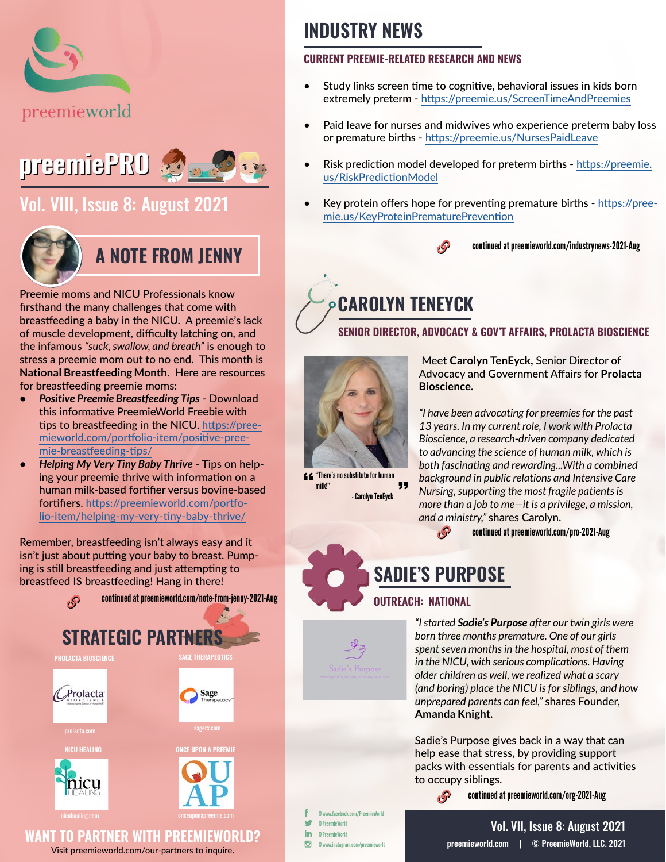



### [Vol. VIII, Issue 8: August 2021](https://preemieworld.com/preemie-pro-digital-issues/)



### **A NOTE FROM JENNY**

Preemie moms and NICU Professionals know firsthand the many challenges that come with breastfeeding a baby in the NICU. A preemie's lack of muscle development, difficulty latching on, and the infamous *"suck, swallow, and breath"* is enough to stress a preemie mom out to no end. This month is **National Breastfeeding Month**. Here are resources for breastfeeding preemie moms:

- *• Positive Preemie Breastfeeding Tips* Download this informative PreemieWorld Freebie with tips to breastfeeding in the NICU. [https://pree](https://preemieworld.com/portfolio-item/positive-preemie-breastfeeding-tips/ )[mieworld.com/portfolio-item/positive-pree](https://preemieworld.com/portfolio-item/positive-preemie-breastfeeding-tips/ )[mie-breastfeeding-tips/](https://preemieworld.com/portfolio-item/positive-preemie-breastfeeding-tips/ )
- *• Helping My Very Tiny Baby Thrive* Tips on helping your preemie thrive with information on a human milk-based fortifier versus bovine-based fortifiers. [https://preemieworld.com/portfo](https://preemieworld.com/portfolio-item/helping-my-very-tiny-baby-thrive/ )[lio-item/helping-my-very-tiny-baby-thrive/](https://preemieworld.com/portfolio-item/helping-my-very-tiny-baby-thrive/ )

Remember, breastfeeding isn't always easy and it isn't just about putting your baby to breast. Pumping is still breastfeeding and just attempting to breastfeed IS breastfeeding! Hang in there!



Visit [preemieworld.com/our-partners](https://preemieworld.com/our-partners) to inquire.

### **INDUSTRY NEWS**

#### **CURRENT PREEMIE-RELATED RESEARCH AND NEWS**

- Study links screen time to cognitive, behavioral issues in kids born extremely preterm - <https://preemie.us/ScreenTimeAndPreemies>
- Paid leave fo[r](http://preemie.us/PreemieBoysStudy  ) nurses and midwives who experience preterm baby loss or premature births - <https://preemie.us/NursesPaidLeave>
- Risk prediction model developed for preterm births - [https://preemie.](https://preemie.us/RiskPredictionModel ) [us/RiskPredictionModel](https://preemie.us/RiskPredictionModel )
- Key protein offers hope for preventing premature births [https://pree](https://preemie.us/KeyProteinPrematurePrevention)[mie.us/KeyProteinPrematurePrevention](https://preemie.us/KeyProteinPrematurePrevention)



continued at [preemieworld.com/industrynews-2021-](http://preemieworld.com/industrynews-2021-Aug)Aug

## **CAROLYN TENEYCK**

#### **SENIOR DIRECTOR, ADVOCACY & GOV'T AFFAIRS, PROLACTA BIOSCIENCE**



"There's no substitute for human " milk!" - Carolyn TenEyck

 Meet **Carolyn TenEyck,** Senior Director of Advocacy and Government Affairs for **Prolacta Bioscience.**

*"I have been advocating for preemies for the past 13 years. In my current role, I work with Prolacta Bioscience, a research-driven company dedicated to advancing the science of human milk, which is both fascinating and rewarding...With a combined background in public relations and Intensive Care Nursing, supporting the most fragile patients is more than a job to me—it is a privilege, a mission, and a ministry,"* shares Carolyn.

 $\mathcal{S}$ continued at [preemieworld.com/pro-2021-](http://preemieworld.com/pro-2021-Aug)Aug

**SADIE'S PURPOSE**

B

#### **OUTREACH: NATIONAL**

*"I started Sadie's Purpose after our twin girls were born three months premature. One of our girls spent seven months in the hospital, most of them in the NICU, with serious complications. Having older children as well, we realized what a scary (and boring) place the NICU is for siblings, and how unprepared parents can feel,"* shares Founder, **Amanda Knight.**

Sadie's Purpose gives back in a way that can help ease that stress, by providing support packs with essentials for parents and activities to occupy siblings.

continued at [preemieworld.com/org-2021-A](http://preemieworld.com/org-2021-Aug)ug

@ www.facebook.com/PreemieWorld @ PreemieWorld in @ PreemieWorld @ www.instagram.com/preemieworld